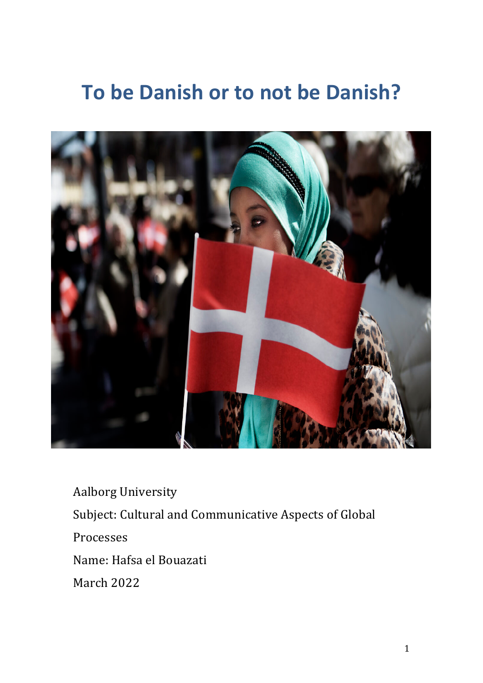# **To be Danish or to not be Danish?**



**Aalborg University** Subject: Cultural and Communicative Aspects of Global Processes Name: Hafsa el Bouazati March 2022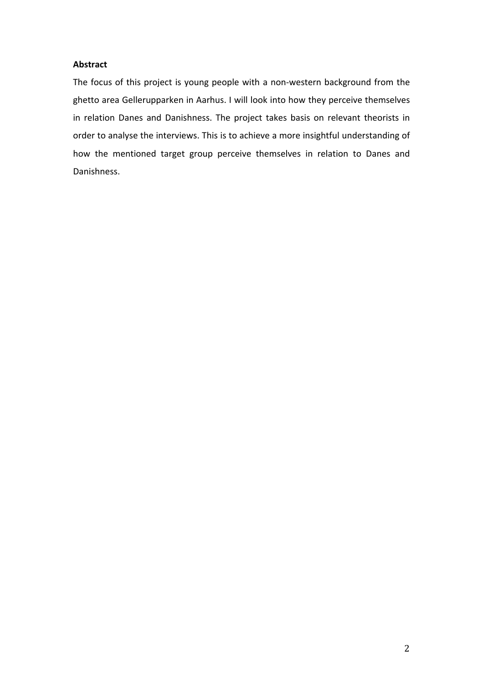# **Abstract**

The focus of this project is young people with a non-western background from the ghetto area Gellerupparken in Aarhus. I will look into how they perceive themselves in relation Danes and Danishness. The project takes basis on relevant theorists in order to analyse the interviews. This is to achieve a more insightful understanding of how the mentioned target group perceive themselves in relation to Danes and Danishness.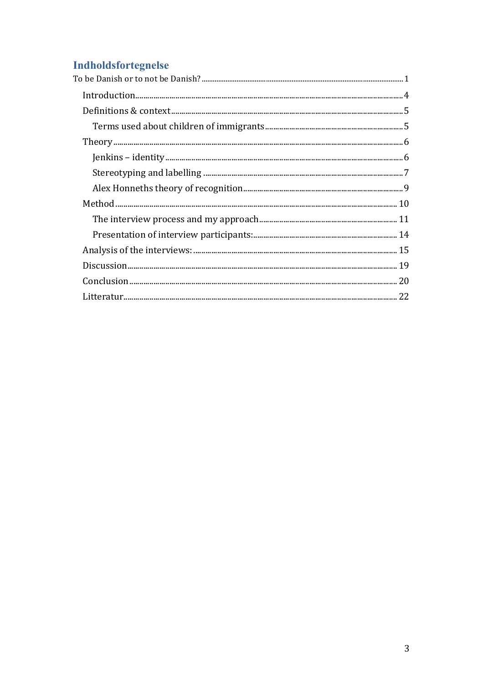# **Indholdsfortegnelse**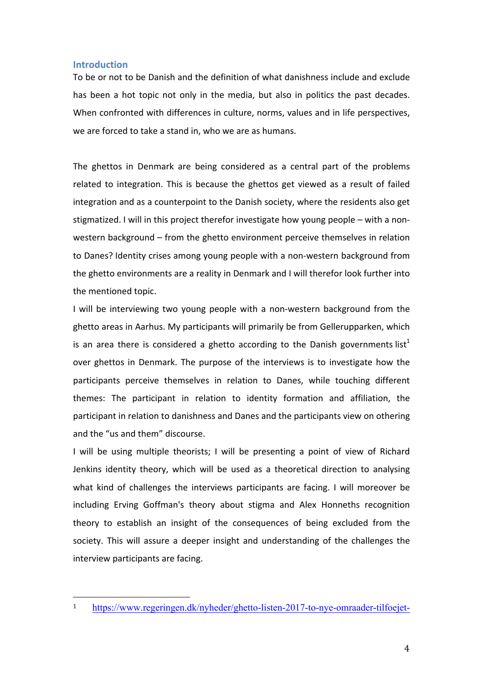# **Introduction**

To be or not to be Danish and the definition of what danishness include and exclude has been a hot topic not only in the media, but also in politics the past decades. When confronted with differences in culture, norms, values and in life perspectives, we are forced to take a stand in, who we are as humans.

The ghettos in Denmark are being considered as a central part of the problems related to integration. This is because the ghettos get viewed as a result of failed integration and as a counterpoint to the Danish society, where the residents also get stigmatized. I will in this project therefor investigate how young people – with a nonwestern background  $-$  from the ghetto environment perceive themselves in relation to Danes? Identity crises among young people with a non-western background from the ghetto environments are a reality in Denmark and I will therefor look further into the mentioned topic.

I will be interviewing two young people with a non-western background from the ghetto areas in Aarhus. My participants will primarily be from Gellerupparken, which is an area there is considered a ghetto according to the Danish governments list<sup>1</sup> over ghettos in Denmark. The purpose of the interviews is to investigate how the participants perceive themselves in relation to Danes, while touching different themes: The participant in relation to identity formation and affiliation, the participant in relation to danishness and Danes and the participants view on othering and the "us and them" discourse.

I will be using multiple theorists; I will be presenting a point of view of Richard Jenkins identity theory, which will be used as a theoretical direction to analysing what kind of challenges the interviews participants are facing. I will moreover be including Erving Goffman's theory about stigma and Alex Honneths recognition theory to establish an insight of the consequences of being excluded from the society. This will assure a deeper insight and understanding of the challenges the interview participants are facing.

<sup>1</sup> https://www.regeringen.dk/nyheder/ghetto-listen-2017-to-nye-omraader-tilfoejet-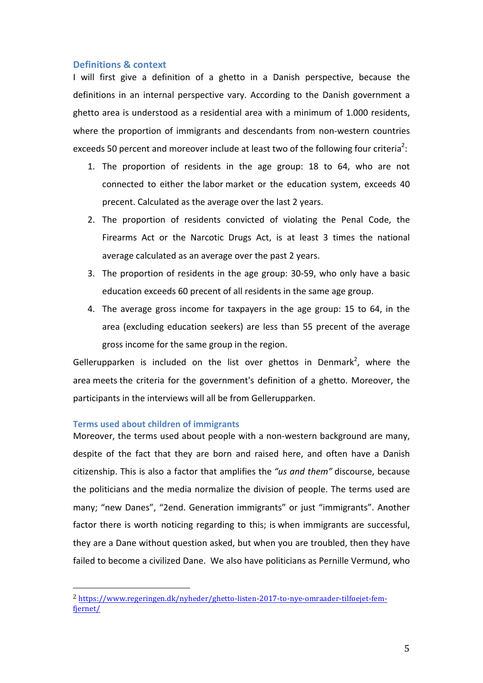# **Definitions & context**

I will first give a definition of a ghetto in a Danish perspective, because the definitions in an internal perspective vary. According to the Danish government a ghetto area is understood as a residential area with a minimum of 1.000 residents, where the proportion of immigrants and descendants from non-western countries exceeds 50 percent and moreover include at least two of the following four criteria<sup>2</sup>:

- 1. The proportion of residents in the age group:  $18$  to  $64$ , who are not connected to either the labor market or the education system, exceeds 40 precent. Calculated as the average over the last 2 years.
- 2. The proportion of residents convicted of violating the Penal Code, the Firearms Act or the Narcotic Drugs Act, is at least 3 times the national average calculated as an average over the past 2 years.
- 3. The proportion of residents in the age group: 30-59, who only have a basic education exceeds 60 precent of all residents in the same age group.
- 4. The average gross income for taxpayers in the age group: 15 to 64, in the area (excluding education seekers) are less than 55 precent of the average gross income for the same group in the region.

Gellerupparken is included on the list over ghettos in Denmark<sup>2</sup>, where the area meets the criteria for the government's definition of a ghetto. Moreover, the participants in the interviews will all be from Gellerupparken.

# **Terms used about children of immigrants**

 

Moreover, the terms used about people with a non-western background are many, despite of the fact that they are born and raised here, and often have a Danish citizenship. This is also a factor that amplifies the "us and them" discourse, because the politicians and the media normalize the division of people. The terms used are many: "new Danes", "2end. Generation immigrants" or just "immigrants". Another factor there is worth noticing regarding to this; is when immigrants are successful, they are a Dane without question asked, but when you are troubled, then they have failed to become a civilized Dane. We also have politicians as Pernille Vermund, who

<sup>2</sup> https://www.regeringen.dk/nyheder/ghetto-listen-2017-to-nye-omraader-tilfoejet-femfjernet/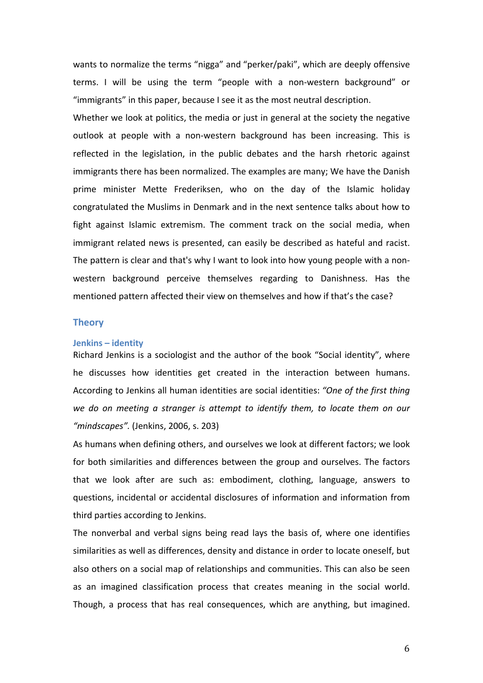wants to normalize the terms "nigga" and "perker/paki", which are deeply offensive terms. I will be using the term "people with a non-western background" or "immigrants" in this paper, because I see it as the most neutral description.

Whether we look at politics, the media or just in general at the society the negative outlook at people with a non-western background has been increasing. This is reflected in the legislation, in the public debates and the harsh rhetoric against immigrants there has been normalized. The examples are many; We have the Danish prime minister Mette Frederiksen, who on the day of the Islamic holiday congratulated the Muslims in Denmark and in the next sentence talks about how to fight against Islamic extremism. The comment track on the social media, when immigrant related news is presented, can easily be described as hateful and racist. The pattern is clear and that's why I want to look into how young people with a nonwestern background perceive themselves regarding to Danishness. Has the mentioned pattern affected their view on themselves and how if that's the case?

## **Theory**

#### **Jenkins – identity**

Richard Jenkins is a sociologist and the author of the book "Social identity", where he discusses how identities get created in the interaction between humans. According to Jenkins all human identities are social identities: "One of the first thing we do on meeting a stranger is attempt to identify them, to locate them on our "*mindscapes"*. (Jenkins, 2006, s. 203)

As humans when defining others, and ourselves we look at different factors; we look for both similarities and differences between the group and ourselves. The factors that we look after are such as: embodiment, clothing, language, answers to questions, incidental or accidental disclosures of information and information from third parties according to Jenkins.

The nonverbal and verbal signs being read lays the basis of, where one identifies similarities as well as differences, density and distance in order to locate oneself, but also others on a social map of relationships and communities. This can also be seen as an imagined classification process that creates meaning in the social world. Though, a process that has real consequences, which are anything, but imagined.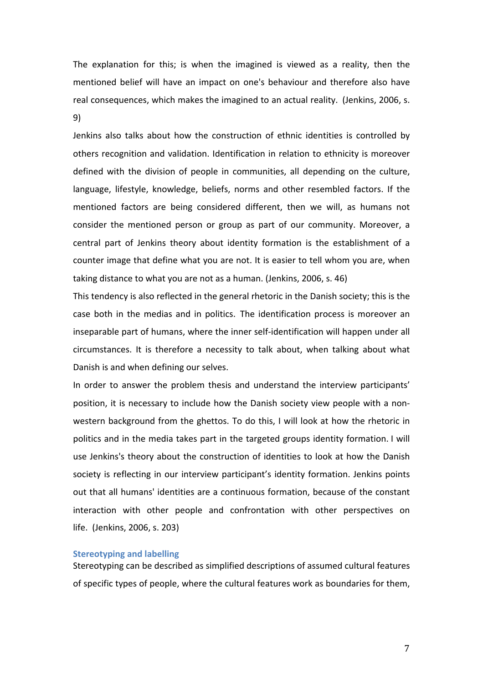The explanation for this; is when the imagined is viewed as a reality, then the mentioned belief will have an impact on one's behaviour and therefore also have real consequences, which makes the imagined to an actual reality. (Jenkins, 2006, s. 9)

Jenkins also talks about how the construction of ethnic identities is controlled by others recognition and validation. Identification in relation to ethnicity is moreover defined with the division of people in communities, all depending on the culture, language, lifestyle, knowledge, beliefs, norms and other resembled factors. If the mentioned factors are being considered different, then we will, as humans not consider the mentioned person or group as part of our community. Moreover, a central part of Jenkins theory about identity formation is the establishment of a counter image that define what you are not. It is easier to tell whom you are, when taking distance to what you are not as a human. (Jenkins, 2006, s. 46)

This tendency is also reflected in the general rhetoric in the Danish society; this is the case both in the medias and in politics. The identification process is moreover an inseparable part of humans, where the inner self-identification will happen under all circumstances. It is therefore a necessity to talk about, when talking about what Danish is and when defining our selves.

In order to answer the problem thesis and understand the interview participants' position, it is necessary to include how the Danish society view people with a nonwestern background from the ghettos. To do this, I will look at how the rhetoric in politics and in the media takes part in the targeted groups identity formation. I will use Jenkins's theory about the construction of identities to look at how the Danish society is reflecting in our interview participant's identity formation. Jenkins points out that all humans' identities are a continuous formation, because of the constant interaction with other people and confrontation with other perspectives on life. (Jenkins, 2006, s. 203)

# **Stereotyping and labelling**

Stereotyping can be described as simplified descriptions of assumed cultural features of specific types of people, where the cultural features work as boundaries for them,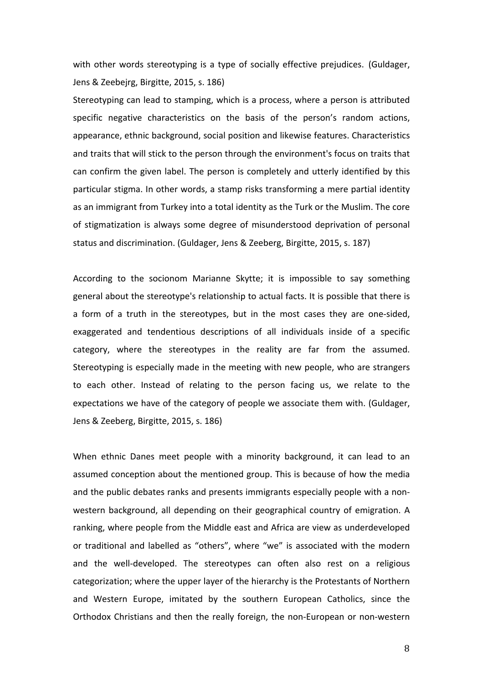with other words stereotyping is a type of socially effective prejudices. (Guldager, Jens & Zeebejrg, Birgitte, 2015, s. 186)

Stereotyping can lead to stamping, which is a process, where a person is attributed specific negative characteristics on the basis of the person's random actions, appearance, ethnic background, social position and likewise features. Characteristics and traits that will stick to the person through the environment's focus on traits that can confirm the given label. The person is completely and utterly identified by this particular stigma. In other words, a stamp risks transforming a mere partial identity as an immigrant from Turkey into a total identity as the Turk or the Muslim. The core of stigmatization is always some degree of misunderstood deprivation of personal status and discrimination. (Guldager, Jens & Zeeberg, Birgitte, 2015, s. 187)

According to the socionom Marianne Skytte; it is impossible to say something general about the stereotype's relationship to actual facts. It is possible that there is a form of a truth in the stereotypes, but in the most cases they are one-sided, exaggerated and tendentious descriptions of all individuals inside of a specific category, where the stereotypes in the reality are far from the assumed. Stereotyping is especially made in the meeting with new people, who are strangers to each other. Instead of relating to the person facing us, we relate to the expectations we have of the category of people we associate them with. (Guldager, Jens & Zeeberg, Birgitte, 2015, s. 186)

When ethnic Danes meet people with a minority background, it can lead to an assumed conception about the mentioned group. This is because of how the media and the public debates ranks and presents immigrants especially people with a nonwestern background, all depending on their geographical country of emigration. A ranking, where people from the Middle east and Africa are view as underdeveloped or traditional and labelled as "others", where "we" is associated with the modern and the well-developed. The stereotypes can often also rest on a religious categorization; where the upper layer of the hierarchy is the Protestants of Northern and Western Europe, imitated by the southern European Catholics, since the Orthodox Christians and then the really foreign, the non-European or non-western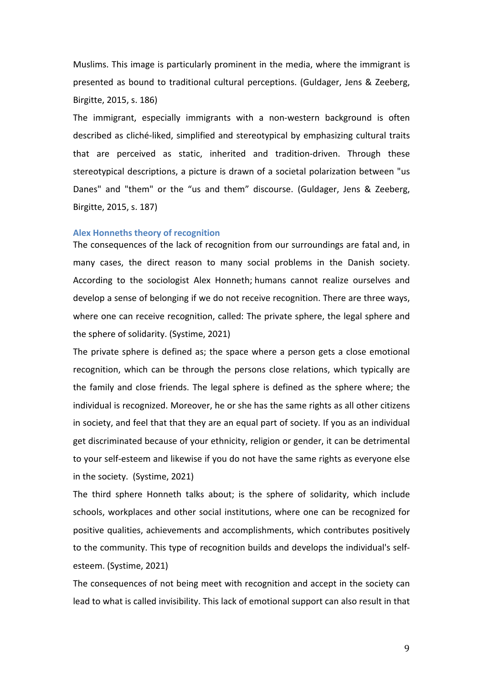Muslims. This image is particularly prominent in the media, where the immigrant is presented as bound to traditional cultural perceptions. (Guldager, Jens & Zeeberg, Birgitte, 2015, s. 186)

The immigrant, especially immigrants with a non-western background is often described as cliché-liked, simplified and stereotypical by emphasizing cultural traits that are perceived as static, inherited and tradition-driven. Through these stereotypical descriptions, a picture is drawn of a societal polarization between "us Danes" and "them" or the "us and them" discourse. (Guldager, Jens & Zeeberg, Birgitte, 2015, s. 187)

#### **Alex Honneths theory of recognition**

The consequences of the lack of recognition from our surroundings are fatal and, in many cases, the direct reason to many social problems in the Danish society. According to the sociologist Alex Honneth; humans cannot realize ourselves and develop a sense of belonging if we do not receive recognition. There are three ways, where one can receive recognition, called: The private sphere, the legal sphere and the sphere of solidarity. (Systime, 2021)

The private sphere is defined as; the space where a person gets a close emotional recognition, which can be through the persons close relations, which typically are the family and close friends. The legal sphere is defined as the sphere where; the individual is recognized. Moreover, he or she has the same rights as all other citizens in society, and feel that that they are an equal part of society. If you as an individual get discriminated because of your ethnicity, religion or gender, it can be detrimental to your self-esteem and likewise if you do not have the same rights as everyone else in the society. (Systime, 2021)

The third sphere Honneth talks about; is the sphere of solidarity, which include schools, workplaces and other social institutions, where one can be recognized for positive qualities, achievements and accomplishments, which contributes positively to the community. This type of recognition builds and develops the individual's selfesteem. (Systime, 2021)

The consequences of not being meet with recognition and accept in the society can lead to what is called invisibility. This lack of emotional support can also result in that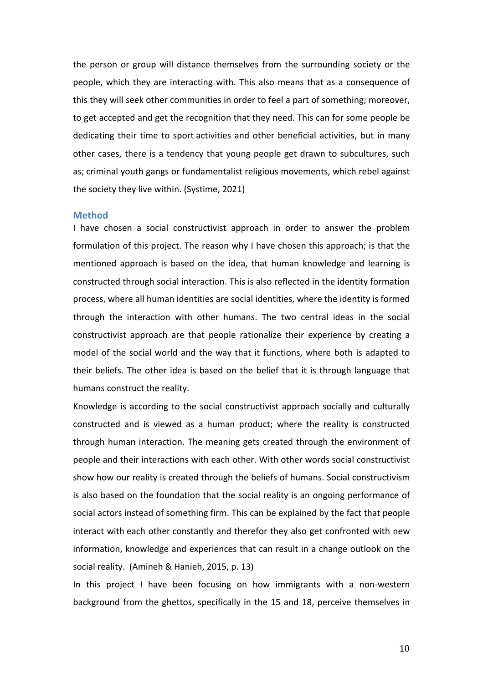the person or group will distance themselves from the surrounding society or the people, which they are interacting with. This also means that as a consequence of this they will seek other communities in order to feel a part of something; moreover, to get accepted and get the recognition that they need. This can for some people be dedicating their time to sport activities and other beneficial activities, but in many other cases, there is a tendency that young people get drawn to subcultures, such as; criminal youth gangs or fundamentalist religious movements, which rebel against the society they live within. (Systime, 2021)

#### **Method**

I have chosen a social constructivist approach in order to answer the problem formulation of this project. The reason why I have chosen this approach; is that the mentioned approach is based on the idea, that human knowledge and learning is constructed through social interaction. This is also reflected in the identity formation process, where all human identities are social identities, where the identity is formed through the interaction with other humans. The two central ideas in the social constructivist approach are that people rationalize their experience by creating a model of the social world and the way that it functions, where both is adapted to their beliefs. The other idea is based on the belief that it is through language that humans construct the reality.

Knowledge is according to the social constructivist approach socially and culturally constructed and is viewed as a human product; where the reality is constructed through human interaction. The meaning gets created through the environment of people and their interactions with each other. With other words social constructivist show how our reality is created through the beliefs of humans. Social constructivism is also based on the foundation that the social reality is an ongoing performance of social actors instead of something firm. This can be explained by the fact that people interact with each other constantly and therefor they also get confronted with new information, knowledge and experiences that can result in a change outlook on the social reality. (Amineh & Hanieh, 2015, p. 13)

In this project I have been focusing on how immigrants with a non-western background from the ghettos, specifically in the 15 and 18, perceive themselves in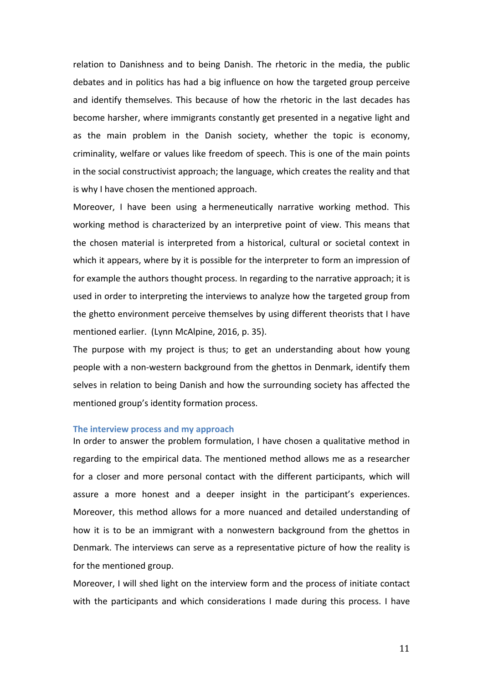relation to Danishness and to being Danish. The rhetoric in the media, the public debates and in politics has had a big influence on how the targeted group perceive and identify themselves. This because of how the rhetoric in the last decades has become harsher, where immigrants constantly get presented in a negative light and as the main problem in the Danish society, whether the topic is economy, criminality, welfare or values like freedom of speech. This is one of the main points in the social constructivist approach; the language, which creates the reality and that is why I have chosen the mentioned approach.

Moreover, I have been using a hermeneutically narrative working method. This working method is characterized by an interpretive point of view. This means that the chosen material is interpreted from a historical, cultural or societal context in which it appears, where by it is possible for the interpreter to form an impression of for example the authors thought process. In regarding to the narrative approach; it is used in order to interpreting the interviews to analyze how the targeted group from the ghetto environment perceive themselves by using different theorists that I have mentioned earlier. (Lynn McAlpine, 2016, p. 35).

The purpose with my project is thus; to get an understanding about how young people with a non-western background from the ghettos in Denmark, identify them selves in relation to being Danish and how the surrounding society has affected the mentioned group's identity formation process.

#### **The interview process and my approach**

In order to answer the problem formulation, I have chosen a qualitative method in regarding to the empirical data. The mentioned method allows me as a researcher for a closer and more personal contact with the different participants, which will assure a more honest and a deeper insight in the participant's experiences. Moreover, this method allows for a more nuanced and detailed understanding of how it is to be an immigrant with a nonwestern background from the ghettos in Denmark. The interviews can serve as a representative picture of how the reality is for the mentioned group.

Moreover, I will shed light on the interview form and the process of initiate contact with the participants and which considerations I made during this process. I have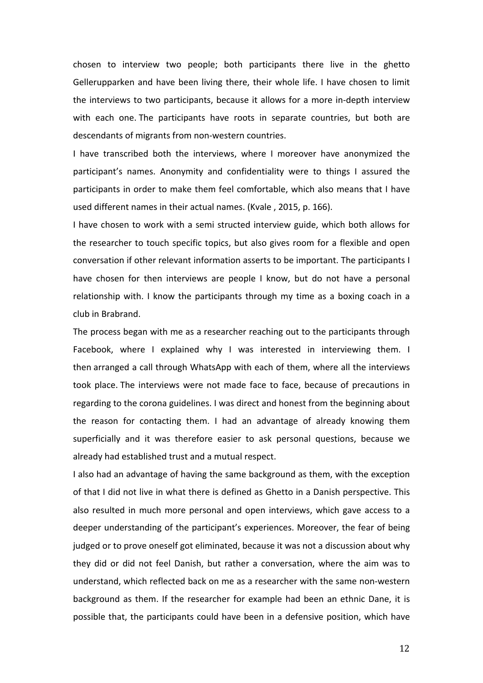chosen to interview two people; both participants there live in the ghetto Gellerupparken and have been living there, their whole life. I have chosen to limit the interviews to two participants, because it allows for a more in-depth interview with each one. The participants have roots in separate countries, but both are descendants of migrants from non-western countries.

I have transcribed both the interviews, where I moreover have anonymized the participant's names. Anonymity and confidentiality were to things I assured the participants in order to make them feel comfortable, which also means that I have used different names in their actual names. (Kvale, 2015, p. 166).

I have chosen to work with a semi structed interview guide, which both allows for the researcher to touch specific topics, but also gives room for a flexible and open conversation if other relevant information asserts to be important. The participants I have chosen for then interviews are people I know, but do not have a personal relationship with. I know the participants through my time as a boxing coach in a club in Brabrand.

The process began with me as a researcher reaching out to the participants through Facebook, where I explained why I was interested in interviewing them. I then arranged a call through WhatsApp with each of them, where all the interviews took place. The interviews were not made face to face, because of precautions in regarding to the corona guidelines. I was direct and honest from the beginning about the reason for contacting them. I had an advantage of already knowing them superficially and it was therefore easier to ask personal questions, because we already had established trust and a mutual respect.

I also had an advantage of having the same background as them, with the exception of that I did not live in what there is defined as Ghetto in a Danish perspective. This also resulted in much more personal and open interviews, which gave access to a deeper understanding of the participant's experiences. Moreover, the fear of being judged or to prove oneself got eliminated, because it was not a discussion about why they did or did not feel Danish, but rather a conversation, where the aim was to understand, which reflected back on me as a researcher with the same non-western background as them. If the researcher for example had been an ethnic Dane, it is possible that, the participants could have been in a defensive position, which have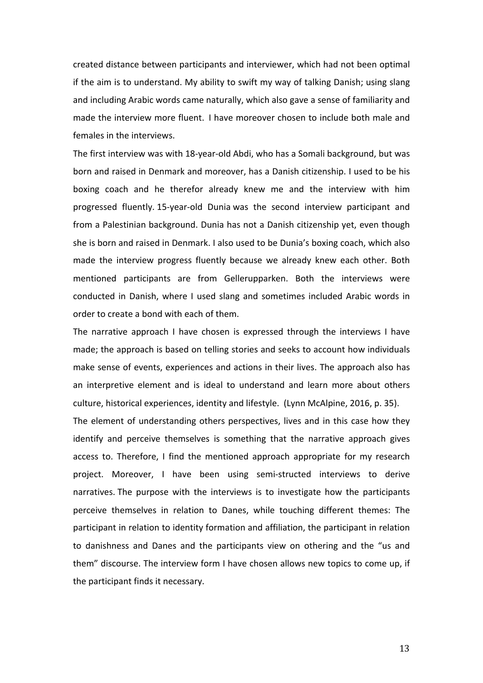created distance between participants and interviewer, which had not been optimal if the aim is to understand. My ability to swift my way of talking Danish; using slang and including Arabic words came naturally, which also gave a sense of familiarity and made the interview more fluent. I have moreover chosen to include both male and females in the interviews.

The first interview was with 18-year-old Abdi, who has a Somali background, but was born and raised in Denmark and moreover, has a Danish citizenship. I used to be his boxing coach and he therefor already knew me and the interview with him progressed fluently. 15-year-old Dunia was the second interview participant and from a Palestinian background. Dunia has not a Danish citizenship yet, even though she is born and raised in Denmark. I also used to be Dunia's boxing coach, which also made the interview progress fluently because we already knew each other. Both mentioned participants are from Gellerupparken. Both the interviews were conducted in Danish, where I used slang and sometimes included Arabic words in order to create a bond with each of them.

The narrative approach I have chosen is expressed through the interviews I have made; the approach is based on telling stories and seeks to account how individuals make sense of events, experiences and actions in their lives. The approach also has an interpretive element and is ideal to understand and learn more about others culture, historical experiences, identity and lifestyle. (Lynn McAlpine, 2016, p. 35).

The element of understanding others perspectives, lives and in this case how they identify and perceive themselves is something that the narrative approach gives access to. Therefore, I find the mentioned approach appropriate for my research project. Moreover, I have been using semi-structed interviews to derive narratives. The purpose with the interviews is to investigate how the participants perceive themselves in relation to Danes, while touching different themes: The participant in relation to identity formation and affiliation, the participant in relation to danishness and Danes and the participants view on othering and the "us and them" discourse. The interview form I have chosen allows new topics to come up, if the participant finds it necessary.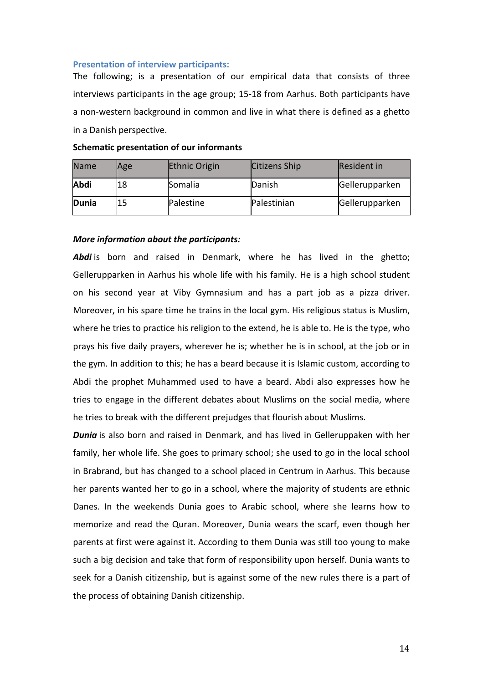## **Presentation of interview participants:**

The following; is a presentation of our empirical data that consists of three interviews participants in the age group; 15-18 from Aarhus. Both participants have a non-western background in common and live in what there is defined as a ghetto in a Danish perspective.

| <b>Name</b>  | Age | <b>Ethnic Origin</b> | Citizens Ship | Resident in    |
|--------------|-----|----------------------|---------------|----------------|
| Abdi         | 18  | Somalia              | Danish        | Gellerupparken |
| <b>Dunia</b> |     | Palestine            | Palestinian   | Gellerupparken |

# **Schematic presentation of our informants**

#### *More information about the participants:*

**Abdi** is born and raised in Denmark, where he has lived in the ghetto; Gellerupparken in Aarhus his whole life with his family. He is a high school student on his second year at Viby Gymnasium and has a part job as a pizza driver. Moreover, in his spare time he trains in the local gym. His religious status is Muslim, where he tries to practice his religion to the extend, he is able to. He is the type, who prays his five daily prayers, wherever he is; whether he is in school, at the job or in the gym. In addition to this; he has a beard because it is Islamic custom, according to Abdi the prophet Muhammed used to have a beard. Abdi also expresses how he tries to engage in the different debates about Muslims on the social media, where he tries to break with the different prejudges that flourish about Muslims.

**Dunia** is also born and raised in Denmark, and has lived in Gelleruppaken with her family, her whole life. She goes to primary school; she used to go in the local school in Brabrand, but has changed to a school placed in Centrum in Aarhus. This because her parents wanted her to go in a school, where the majority of students are ethnic Danes. In the weekends Dunia goes to Arabic school, where she learns how to memorize and read the Quran. Moreover, Dunia wears the scarf, even though her parents at first were against it. According to them Dunia was still too young to make such a big decision and take that form of responsibility upon herself. Dunia wants to seek for a Danish citizenship, but is against some of the new rules there is a part of the process of obtaining Danish citizenship.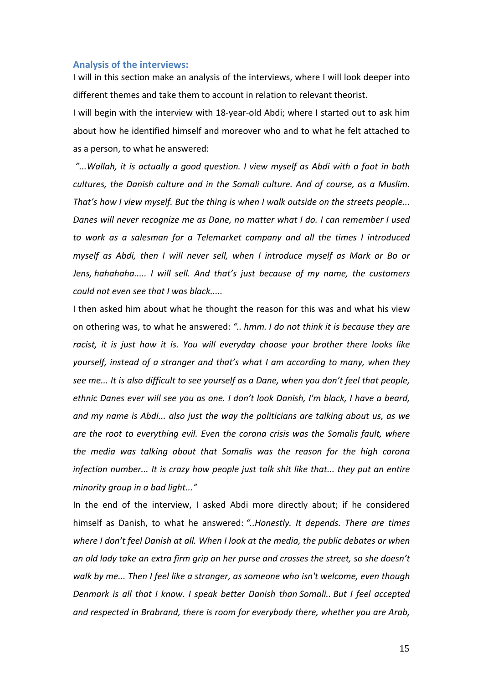#### **Analysis of the interviews:**

I will in this section make an analysis of the interviews, where I will look deeper into different themes and take them to account in relation to relevant theorist.

I will begin with the interview with 18-year-old Abdi; where I started out to ask him about how he identified himself and moreover who and to what he felt attached to as a person, to what he answered:

"...Wallah, it is actually a good question. I view myself as Abdi with a foot in both *cultures, the Danish culture and in the Somali culture. And of course, as a Muslim. That's how I view myself. But the thing is when I walk outside on the streets people...* Danes will never recognize me as Dane, no matter what I do. I can remember I used *to* work as a salesman for a Telemarket company and all the times I introduced *myself as Abdi, then I will never sell, when I introduce myself as Mark or Bo or Jens, hahahaha.....* I will sell. And that's just because of my name, the customers *could not even see that I was black.....* 

I then asked him about what he thought the reason for this was and what his view on othering was, to what he answered: ".. hmm. I do not think it is because they are racist, it is just how it is. You will everyday choose your brother there looks like *yourself, instead of a stranger and that's* what I am according to many, when they see me... It is also difficult to see yourself as a Dane, when you don't feel that people, *ethnic Danes ever will see you as one. I don't look Danish, I'm black, I have a beard, and my name is Abdi... also just the way the politicians are talking about us, as we* are the root to everything evil. Even the corona crisis was the Somalis fault, where *the media was talking about that Somalis was the reason for the high corona infection number...* It is crazy how people just talk shit like that... they put an entire *minority aroup in a bad light..."* 

In the end of the interview, I asked Abdi more directly about; if he considered himself as Danish, to what he answered: "..Honestly. It depends. There are times where I don't feel Danish at all. When I look at the media, the public debates or when an old lady take an extra firm grip on her purse and crosses the street, so she doesn't walk by me... Then I feel like a stranger, as someone who isn't welcome, even though *Denmark is all that I know. I speak better Danish than Somali.. But I feel accepted and respected in Brabrand, there is room for everybody there, whether you are Arab,*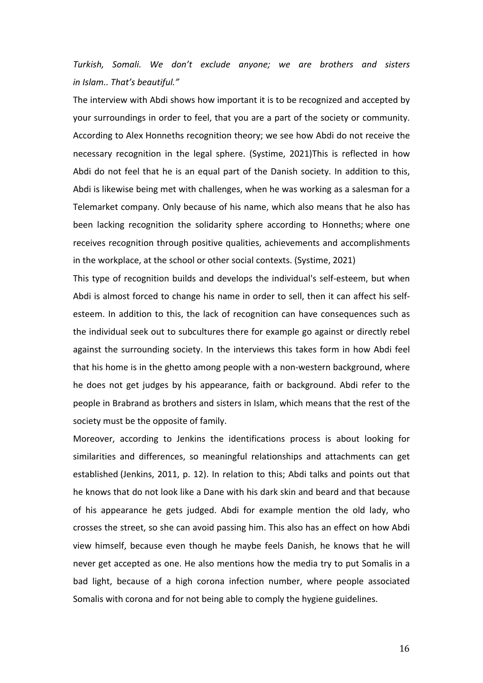*Turkish, Somali. We don't exclude anyone; we are brothers and sisters in Islam.. That's beautiful."*

The interview with Abdi shows how important it is to be recognized and accepted by your surroundings in order to feel, that you are a part of the society or community. According to Alex Honneths recognition theory; we see how Abdi do not receive the necessary recognition in the legal sphere. (Systime, 2021)This is reflected in how Abdi do not feel that he is an equal part of the Danish society. In addition to this, Abdi is likewise being met with challenges, when he was working as a salesman for a Telemarket company. Only because of his name, which also means that he also has been lacking recognition the solidarity sphere according to Honneths; where one receives recognition through positive qualities, achievements and accomplishments in the workplace, at the school or other social contexts. (Systime, 2021)

This type of recognition builds and develops the individual's self-esteem, but when Abdi is almost forced to change his name in order to sell, then it can affect his selfesteem. In addition to this, the lack of recognition can have consequences such as the individual seek out to subcultures there for example go against or directly rebel against the surrounding society. In the interviews this takes form in how Abdi feel that his home is in the ghetto among people with a non-western background, where he does not get judges by his appearance, faith or background. Abdi refer to the people in Brabrand as brothers and sisters in Islam, which means that the rest of the society must be the opposite of family.

Moreover, according to Jenkins the identifications process is about looking for similarities and differences, so meaningful relationships and attachments can get established (Jenkins, 2011, p. 12). In relation to this; Abdi talks and points out that he knows that do not look like a Dane with his dark skin and beard and that because of his appearance he gets judged. Abdi for example mention the old lady, who crosses the street, so she can avoid passing him. This also has an effect on how Abdi view himself, because even though he maybe feels Danish, he knows that he will never get accepted as one. He also mentions how the media try to put Somalis in a bad light, because of a high corona infection number, where people associated Somalis with corona and for not being able to comply the hygiene guidelines.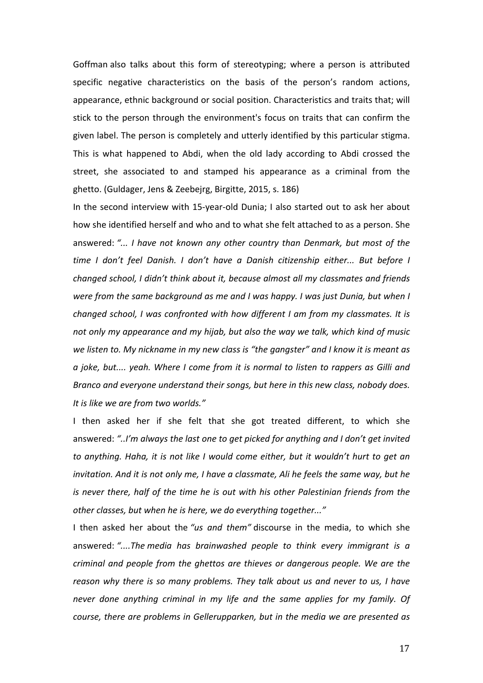Goffman also talks about this form of stereotyping; where a person is attributed specific negative characteristics on the basis of the person's random actions, appearance, ethnic background or social position. Characteristics and traits that; will stick to the person through the environment's focus on traits that can confirm the given label. The person is completely and utterly identified by this particular stigma. This is what happened to Abdi, when the old lady according to Abdi crossed the street, she associated to and stamped his appearance as a criminal from the ghetto. (Guldager, Jens & Zeebejrg, Birgitte, 2015, s. 186)

In the second interview with 15-year-old Dunia; I also started out to ask her about how she identified herself and who and to what she felt attached to as a person. She answered: "... I have not known any other country than Denmark, but most of the time I don't feel Danish. I don't have a Danish citizenship either... But before I *changed school, I didn't think about it, because almost all my classmates and friends were from the same background as me and I was happy. I was just Dunia, but when I changed school, I was confronted with how different I am from my classmates. It is* not only my appearance and my hijab, but also the way we talk, which kind of music we listen to. My nickname in my new class is "the gangster" and I know it is meant as *a* joke, but.... yeah. Where I come from it is normal to listen to rappers as Gilli and *Branco and everyone understand their songs, but here in this new class, nobody does.* It is like we are from two worlds."

I then asked her if she felt that she got treated different, to which she answered: "..I'm always the last one to get picked for anything and I don't get invited *to* anything. Haha, it is not like I would come either, but it wouldn't hurt to get an *invitation.* And it is not only me, I have a classmate, Ali he feels the same way, but he *is* never there, half of the time he is out with his other Palestinian friends from the *other classes, but when he is here, we do everything together..."* 

I then asked her about the "us and them" discourse in the media, to which she answered: "....The media has brainwashed people to think every immigrant is a *criminal and people from the ghettos are thieves or dangerous people. We are the reason why there is so many problems. They talk about us and never to us, I have never* done anything criminal in my life and the same applies for my family. Of *course, there are problems in Gellerupparken, but in the media we are presented as*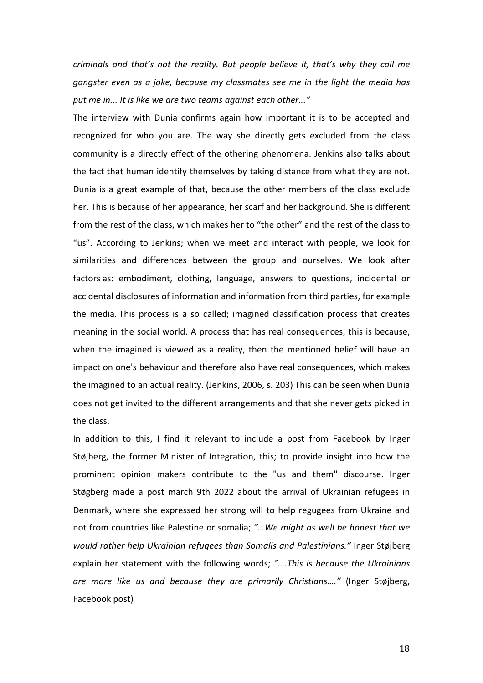*criminals and that's not the reality. But people believe it, that's why they call me* gangster even as a joke, because my classmates see me in the light the media has put me in... It is like we are two teams against each other..."

The interview with Dunia confirms again how important it is to be accepted and recognized for who you are. The way she directly gets excluded from the class community is a directly effect of the othering phenomena. Jenkins also talks about the fact that human identify themselves by taking distance from what they are not. Dunia is a great example of that, because the other members of the class exclude her. This is because of her appearance, her scarf and her background. She is different from the rest of the class, which makes her to "the other" and the rest of the class to "us". According to Jenkins; when we meet and interact with people, we look for similarities and differences between the group and ourselves. We look after factors as: embodiment, clothing, language, answers to questions, incidental or accidental disclosures of information and information from third parties, for example the media. This process is a so called; imagined classification process that creates meaning in the social world. A process that has real consequences, this is because, when the imagined is viewed as a reality, then the mentioned belief will have an impact on one's behaviour and therefore also have real consequences, which makes the imagined to an actual reality. (Jenkins, 2006, s. 203) This can be seen when Dunia does not get invited to the different arrangements and that she never gets picked in the class.

In addition to this, I find it relevant to include a post from Facebook by Inger Støjberg, the former Minister of Integration, this; to provide insight into how the prominent opinion makers contribute to the "us and them" discourse. Inger Støgberg made a post march 9th 2022 about the arrival of Ukrainian refugees in Denmark, where she expressed her strong will to help regugees from Ukraine and not from countries like Palestine or somalia; "... We might as well be honest that we *would rather help Ukrainian refugees than Somalis and Palestinians."* Inger Støjberg explain her statement with the following words; "....This is because the Ukrainians *are more like us and because they are primarily Christians...."* (Inger Støjberg, Facebook post)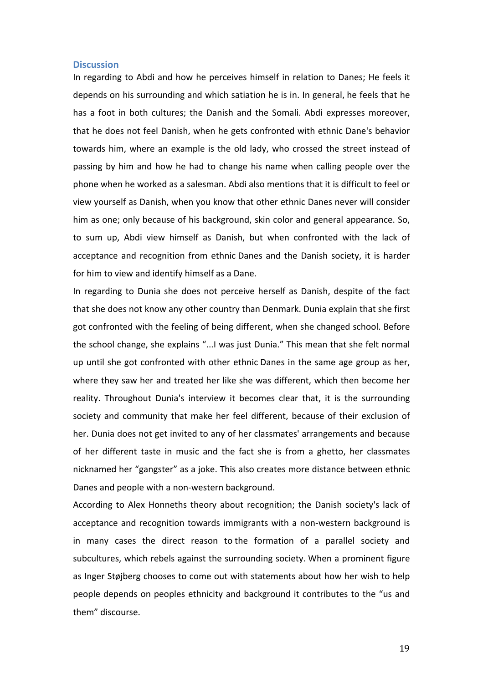#### **Discussion**

In regarding to Abdi and how he perceives himself in relation to Danes; He feels it depends on his surrounding and which satiation he is in. In general, he feels that he has a foot in both cultures; the Danish and the Somali. Abdi expresses moreover, that he does not feel Danish, when he gets confronted with ethnic Dane's behavior towards him, where an example is the old lady, who crossed the street instead of passing by him and how he had to change his name when calling people over the phone when he worked as a salesman. Abdi also mentions that it is difficult to feel or view yourself as Danish, when you know that other ethnic Danes never will consider him as one; only because of his background, skin color and general appearance. So, to sum up, Abdi view himself as Danish, but when confronted with the lack of acceptance and recognition from ethnic Danes and the Danish society, it is harder for him to view and identify himself as a Dane.

In regarding to Dunia she does not perceive herself as Danish, despite of the fact that she does not know any other country than Denmark. Dunia explain that she first got confronted with the feeling of being different, when she changed school. Before the school change, she explains "...I was just Dunia." This mean that she felt normal up until she got confronted with other ethnic Danes in the same age group as her, where they saw her and treated her like she was different, which then become her reality. Throughout Dunia's interview it becomes clear that, it is the surrounding society and community that make her feel different, because of their exclusion of her. Dunia does not get invited to any of her classmates' arrangements and because of her different taste in music and the fact she is from a ghetto, her classmates nicknamed her "gangster" as a joke. This also creates more distance between ethnic Danes and people with a non-western background.

According to Alex Honneths theory about recognition; the Danish society's lack of acceptance and recognition towards immigrants with a non-western background is in many cases the direct reason to the formation of a parallel society and subcultures, which rebels against the surrounding society. When a prominent figure as Inger Støjberg chooses to come out with statements about how her wish to help people depends on peoples ethnicity and background it contributes to the "us and them" discourse.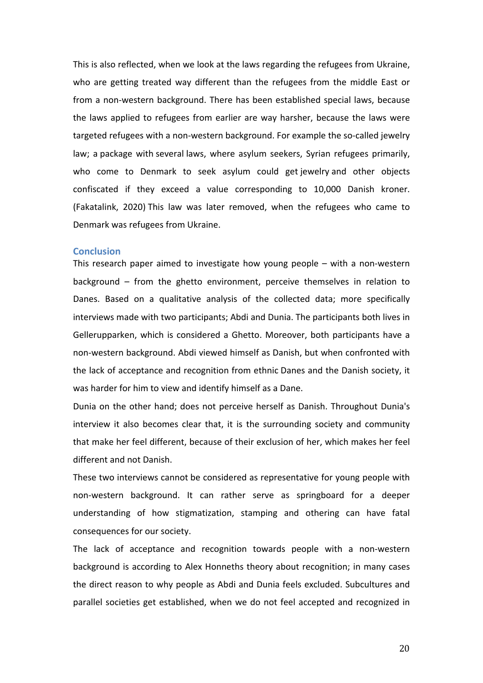This is also reflected, when we look at the laws regarding the refugees from Ukraine, who are getting treated way different than the refugees from the middle East or from a non-western background. There has been established special laws, because the laws applied to refugees from earlier are way harsher, because the laws were targeted refugees with a non-western background. For example the so-called jewelry law; a package with several laws, where asylum seekers, Syrian refugees primarily, who come to Denmark to seek asylum could get jewelry and other objects confiscated if they exceed a value corresponding to 10,000 Danish kroner. (Fakatalink, 2020) This law was later removed, when the refugees who came to Denmark was refugees from Ukraine.

#### **Conclusion**

This research paper aimed to investigate how young people  $-$  with a non-western background  $-$  from the ghetto environment, perceive themselves in relation to Danes. Based on a qualitative analysis of the collected data; more specifically interviews made with two participants; Abdi and Dunia. The participants both lives in Gellerupparken, which is considered a Ghetto. Moreover, both participants have a non-western background. Abdi viewed himself as Danish, but when confronted with the lack of acceptance and recognition from ethnic Danes and the Danish society, it was harder for him to view and identify himself as a Dane.

Dunia on the other hand; does not perceive herself as Danish. Throughout Dunia's interview it also becomes clear that, it is the surrounding society and community that make her feel different, because of their exclusion of her, which makes her feel different and not Danish.

These two interviews cannot be considered as representative for young people with non-western background. It can rather serve as springboard for a deeper understanding of how stigmatization, stamping and othering can have fatal consequences for our society.

The lack of acceptance and recognition towards people with a non-western background is according to Alex Honneths theory about recognition; in many cases the direct reason to why people as Abdi and Dunia feels excluded. Subcultures and parallel societies get established, when we do not feel accepted and recognized in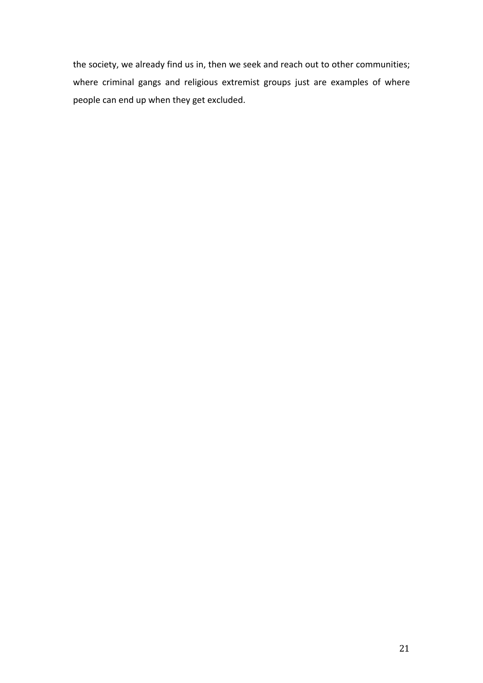the society, we already find us in, then we seek and reach out to other communities; where criminal gangs and religious extremist groups just are examples of where people can end up when they get excluded.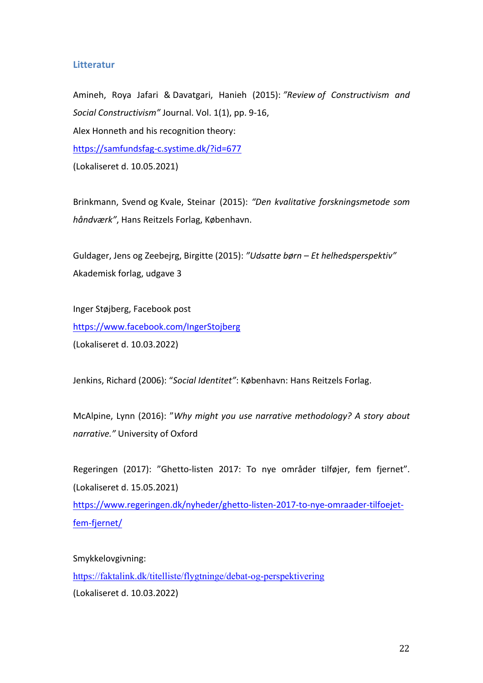# **Litteratur**

Amineh, Roya Jafari & Davatgari, Hanieh (2015): "Review of Constructivism and Social Constructivism" Journal. Vol. 1(1), pp. 9-16, Alex Honneth and his recognition theory: https://samfundsfag-c.systime.dk/?id=677 (Lokaliseret d. 10.05.2021)

Brinkmann, Svend og Kvale, Steinar (2015): "Den kvalitative forskningsmetode som *håndværk"*, Hans Reitzels Forlag, København.

Guldager, Jens og Zeebejrg, Birgitte (2015): "Udsatte børn – Et helhedsperspektiv" Akademisk forlag, udgave 3

Inger Støjberg, Facebook post https://www.facebook.com/IngerStojberg (Lokaliseret d. 10.03.2022)

Jenkins, Richard (2006): "Social Identitet": København: Hans Reitzels Forlag.

McAlpine, Lynn (2016): "Why might you use narrative methodology? A story about *narrative."* University of Oxford

Regeringen (2017): "Ghetto-listen 2017: To nye områder tilføjer, fem fjernet". (Lokaliseret d. 15.05.2021)

https://www.regeringen.dk/nyheder/ghetto-listen-2017-to-nye-omraader-tilfoejetfem-fjernet/

Smykkelovgivning: https://faktalink.dk/titelliste/flygtninge/debat-og-perspektivering (Lokaliseret d. 10.03.2022)